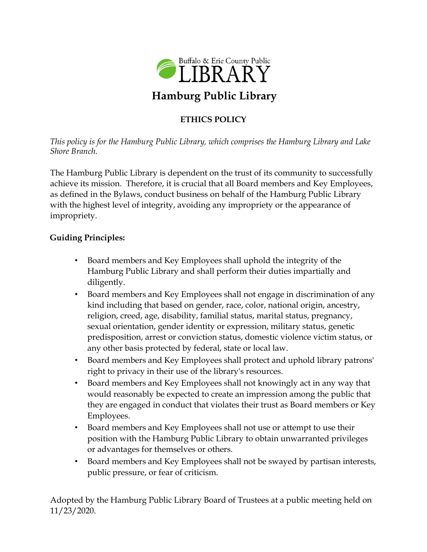

## **ETHICS POLICY**

*This policy is for the Hamburg Public Library, which comprises the Hamburg Library and Lake Shore Branch.* 

The Hamburg Public Library is dependent on the trust of its community to successfully achieve its mission. Therefore, it is crucial that all Board members and Key Employees, as defined in the Bylaws, conduct business on behalf of the Hamburg Public Library with the highest level of integrity, avoiding any impropriety or the appearance of impropriety.

## **Guiding Principles:**

- Board members and Key Employees shall uphold the integrity of the Hamburg Public Library and shall perform their duties impartially and diligently.
- Board members and Key Employees shall not engage in discrimination of any kind including that based on gender, race, color, national origin, ancestry, religion, creed, age, disability, familial status, marital status, pregnancy, sexual orientation, gender identity or expression, military status, genetic predisposition, arrest or conviction status, domestic violence victim status, or any other basis protected by federal, state or local law.
- Board members and Key Employees shall protect and uphold library patrons' right to privacy in their use of the library's resources.
- Board members and Key Employees shall not knowingly act in any way that would reasonably be expected to create an impression among the public that they are engaged in conduct that violates their trust as Board members or Key Employees.
- Board members and Key Employees shall not use or attempt to use their position with the Hamburg Public Library to obtain unwarranted privileges or advantages for themselves or others.
- Board members and Key Employees shall not be swayed by partisan interests, public pressure, or fear of criticism.

Adopted by the Hamburg Public Library Board of Trustees at a public meeting held on 11/23/2020.